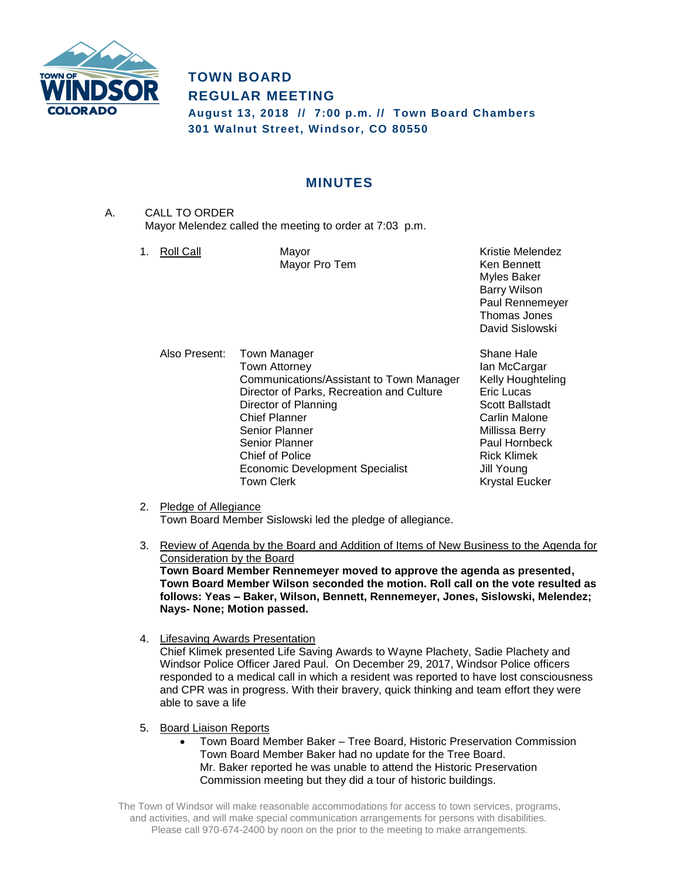

# **TOWN BOARD REGULAR MEETING**

**August 13, 2018 // 7:00 p.m. // Town Board Chambers 301 Walnut Street, Windsor, CO 80550**

# **MINUTES**

- A. CALL TO ORDER Mayor Melendez called the meeting to order at 7:03 p.m.
	- 1. Roll Call **Mayor** Mayor **Kristie Melendez Kristie Melendez** Mayor Pro Tem **Ken Bennett**

Myles Baker Barry Wilson Paul Rennemeyer Thomas Jones David Sislowski

Also Present: Town Manager Shane Hale Town Attorney **Ian McCargar** Communications/Assistant to Town Manager Kelly Houghteling<br>Director of Parks. Recreation and Culture Eric Lucas Director of Parks, Recreation and Culture Director of Planning Scott Ballstadt Chief Planner **Carlin Malone**<br>
Carlin Malone<br>
Cenior Planner Carlin Malone<br>
Carlin Millissa Berry Senior Planner **Paul Hornbeck** Chief of Police **Rick Klimek** Economic Development Specialist **Jill Young** Town Clerk **Krystal Eucker** Krystal Eucker

Millissa Berry

- 2. Pledge of Allegiance Town Board Member Sislowski led the pledge of allegiance.
- 3. Review of Agenda by the Board and Addition of Items of New Business to the Agenda for Consideration by the Board **Town Board Member Rennemeyer moved to approve the agenda as presented, Town Board Member Wilson seconded the motion. Roll call on the vote resulted as follows: Yeas – Baker, Wilson, Bennett, Rennemeyer, Jones, Sislowski, Melendez; Nays- None; Motion passed.**
- 4. Lifesaving Awards Presentation Chief Klimek presented Life Saving Awards to Wayne Plachety, Sadie Plachety and Windsor Police Officer Jared Paul. On December 29, 2017, Windsor Police officers responded to a medical call in which a resident was reported to have lost consciousness and CPR was in progress. With their bravery, quick thinking and team effort they were able to save a life
- 5. Board Liaison Reports
	- Town Board Member Baker Tree Board, Historic Preservation Commission Town Board Member Baker had no update for the Tree Board. Mr. Baker reported he was unable to attend the Historic Preservation Commission meeting but they did a tour of historic buildings.

The Town of Windsor will make reasonable accommodations for access to town services, programs, and activities, and will make special communication arrangements for persons with disabilities. Please call 970-674-2400 by noon on the prior to the meeting to make arrangements.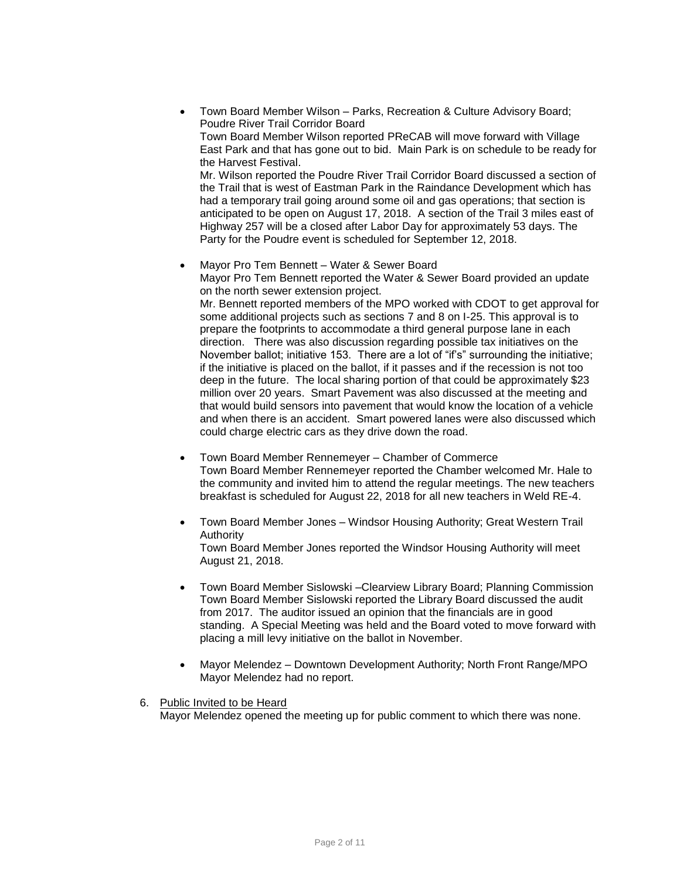- Town Board Member Wilson Parks, Recreation & Culture Advisory Board; Poudre River Trail Corridor Board Town Board Member Wilson reported PReCAB will move forward with Village East Park and that has gone out to bid. Main Park is on schedule to be ready for the Harvest Festival. Mr. Wilson reported the Poudre River Trail Corridor Board discussed a section of the Trail that is west of Eastman Park in the Raindance Development which has had a temporary trail going around some oil and gas operations; that section is anticipated to be open on August 17, 2018. A section of the Trail 3 miles east of Highway 257 will be a closed after Labor Day for approximately 53 days. The Party for the Poudre event is scheduled for September 12, 2018.
	- Mayor Pro Tem Bennett Water & Sewer Board Mayor Pro Tem Bennett reported the Water & Sewer Board provided an update on the north sewer extension project. Mr. Bennett reported members of the MPO worked with CDOT to get approval for some additional projects such as sections 7 and 8 on I-25. This approval is to prepare the footprints to accommodate a third general purpose lane in each direction. There was also discussion regarding possible tax initiatives on the November ballot; initiative 153. There are a lot of "if's" surrounding the initiative; if the initiative is placed on the ballot, if it passes and if the recession is not too deep in the future. The local sharing portion of that could be approximately \$23 million over 20 years. Smart Pavement was also discussed at the meeting and that would build sensors into pavement that would know the location of a vehicle and when there is an accident. Smart powered lanes were also discussed which could charge electric cars as they drive down the road.
- Town Board Member Rennemeyer Chamber of Commerce Town Board Member Rennemeyer reported the Chamber welcomed Mr. Hale to the community and invited him to attend the regular meetings. The new teachers breakfast is scheduled for August 22, 2018 for all new teachers in Weld RE-4.
- Town Board Member Jones Windsor Housing Authority; Great Western Trail Authority

Town Board Member Jones reported the Windsor Housing Authority will meet August 21, 2018.

- Town Board Member Sislowski –Clearview Library Board; Planning Commission Town Board Member Sislowski reported the Library Board discussed the audit from 2017. The auditor issued an opinion that the financials are in good standing. A Special Meeting was held and the Board voted to move forward with placing a mill levy initiative on the ballot in November.
- Mayor Melendez Downtown Development Authority; North Front Range/MPO Mayor Melendez had no report.
- 6. Public Invited to be Heard Mayor Melendez opened the meeting up for public comment to which there was none.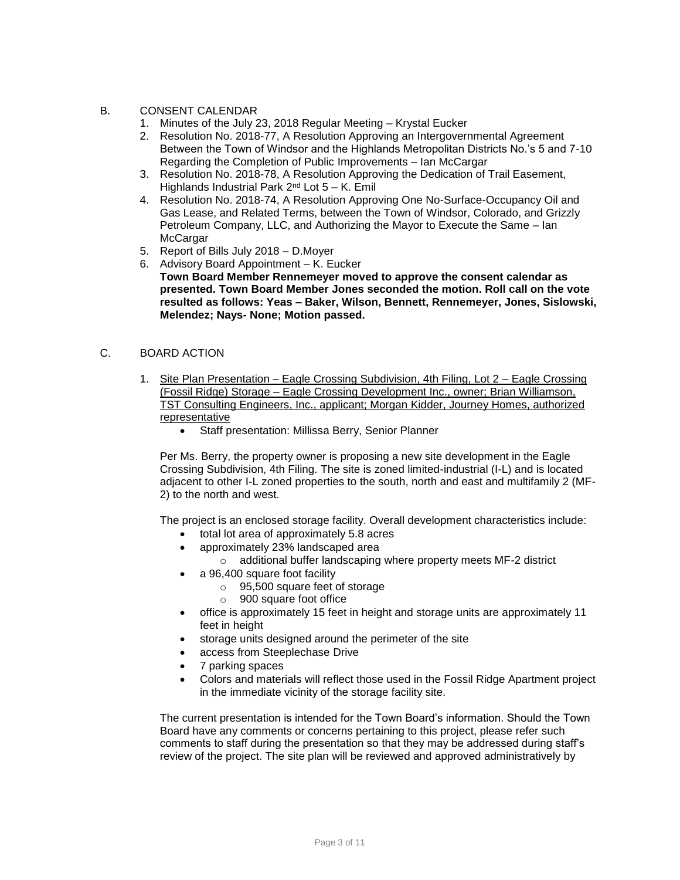## B. CONSENT CALENDAR

- 1. Minutes of the July 23, 2018 Regular Meeting Krystal Eucker
- 2. Resolution No. 2018-77, A Resolution Approving an Intergovernmental Agreement Between the Town of Windsor and the Highlands Metropolitan Districts No.'s 5 and 7-10 Regarding the Completion of Public Improvements – Ian McCargar
- 3. Resolution No. 2018-78, A Resolution Approving the Dedication of Trail Easement, Highlands Industrial Park  $2^{nd}$  Lot  $5 - K$ . Emil
- 4. Resolution No. 2018-74, A Resolution Approving One No-Surface-Occupancy Oil and Gas Lease, and Related Terms, between the Town of Windsor, Colorado, and Grizzly Petroleum Company, LLC, and Authorizing the Mayor to Execute the Same – Ian **McCargar**
- 5. Report of Bills July 2018 D.Moyer
- 6. Advisory Board Appointment K. Eucker
	- **Town Board Member Rennemeyer moved to approve the consent calendar as presented. Town Board Member Jones seconded the motion. Roll call on the vote resulted as follows: Yeas – Baker, Wilson, Bennett, Rennemeyer, Jones, Sislowski, Melendez; Nays- None; Motion passed.**

#### C. BOARD ACTION

- 1. Site Plan Presentation Eagle Crossing Subdivision, 4th Filing, Lot 2 Eagle Crossing (Fossil Ridge) Storage – Eagle Crossing Development Inc., owner; Brian Williamson, TST Consulting Engineers, Inc., applicant; Morgan Kidder, Journey Homes, authorized representative
	- Staff presentation: Millissa Berry, Senior Planner

Per Ms. Berry, the property owner is proposing a new site development in the Eagle Crossing Subdivision, 4th Filing. The site is zoned limited-industrial (I-L) and is located adjacent to other I-L zoned properties to the south, north and east and multifamily 2 (MF-2) to the north and west.

The project is an enclosed storage facility. Overall development characteristics include:

- total lot area of approximately 5.8 acres
- approximately 23% landscaped area
	- o additional buffer landscaping where property meets MF-2 district
- a 96,400 square foot facility
	- o 95,500 square feet of storage
	- o 900 square foot office
- office is approximately 15 feet in height and storage units are approximately 11 feet in height
- storage units designed around the perimeter of the site
- access from Steeplechase Drive
- 7 parking spaces
- Colors and materials will reflect those used in the Fossil Ridge Apartment project in the immediate vicinity of the storage facility site.

The current presentation is intended for the Town Board's information. Should the Town Board have any comments or concerns pertaining to this project, please refer such comments to staff during the presentation so that they may be addressed during staff's review of the project. The site plan will be reviewed and approved administratively by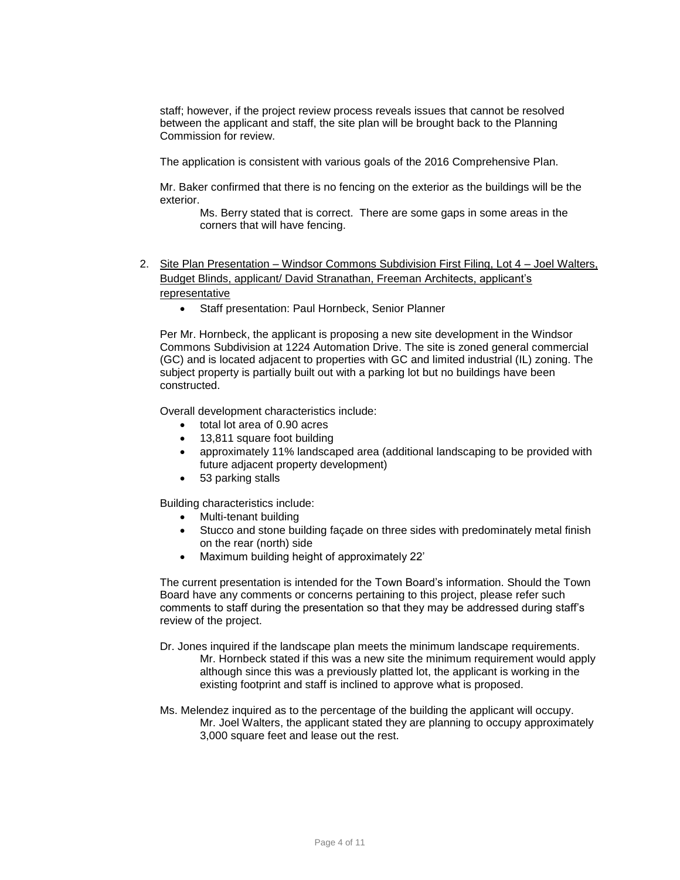staff; however, if the project review process reveals issues that cannot be resolved between the applicant and staff, the site plan will be brought back to the Planning Commission for review.

The application is consistent with various goals of the 2016 Comprehensive Plan.

Mr. Baker confirmed that there is no fencing on the exterior as the buildings will be the exterior.

Ms. Berry stated that is correct. There are some gaps in some areas in the corners that will have fencing.

- 2. Site Plan Presentation Windsor Commons Subdivision First Filing, Lot 4 Joel Walters, Budget Blinds, applicant/ David Stranathan, Freeman Architects, applicant's representative
	- Staff presentation: Paul Hornbeck, Senior Planner

Per Mr. Hornbeck, the applicant is proposing a new site development in the Windsor Commons Subdivision at 1224 Automation Drive. The site is zoned general commercial (GC) and is located adjacent to properties with GC and limited industrial (IL) zoning. The subject property is partially built out with a parking lot but no buildings have been constructed.

Overall development characteristics include:

- total lot area of 0.90 acres
- 13,811 square foot building
- approximately 11% landscaped area (additional landscaping to be provided with future adjacent property development)
- 53 parking stalls

Building characteristics include:

- Multi-tenant building
- Stucco and stone building façade on three sides with predominately metal finish on the rear (north) side
- Maximum building height of approximately 22'

The current presentation is intended for the Town Board's information. Should the Town Board have any comments or concerns pertaining to this project, please refer such comments to staff during the presentation so that they may be addressed during staff's review of the project.

- Dr. Jones inquired if the landscape plan meets the minimum landscape requirements. Mr. Hornbeck stated if this was a new site the minimum requirement would apply although since this was a previously platted lot, the applicant is working in the existing footprint and staff is inclined to approve what is proposed.
- Ms. Melendez inquired as to the percentage of the building the applicant will occupy. Mr. Joel Walters, the applicant stated they are planning to occupy approximately 3,000 square feet and lease out the rest.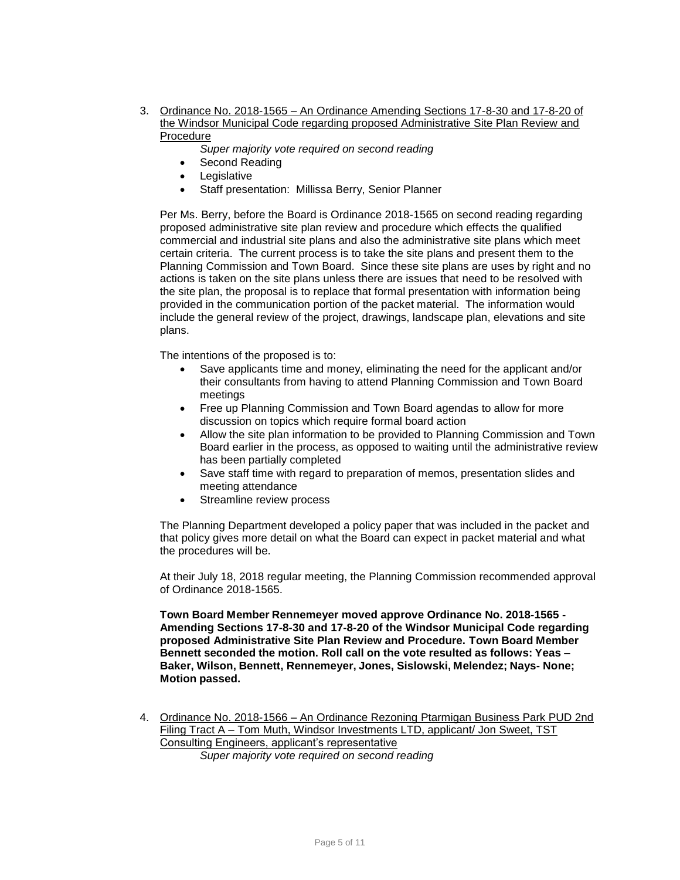- 3. Ordinance No. 2018-1565 An Ordinance Amending Sections 17-8-30 and 17-8-20 of the Windsor Municipal Code regarding proposed Administrative Site Plan Review and Procedure
	- *Super majority vote required on second reading*
	- Second Reading
	- Legislative
	- Staff presentation: Millissa Berry, Senior Planner

Per Ms. Berry, before the Board is Ordinance 2018-1565 on second reading regarding proposed administrative site plan review and procedure which effects the qualified commercial and industrial site plans and also the administrative site plans which meet certain criteria. The current process is to take the site plans and present them to the Planning Commission and Town Board. Since these site plans are uses by right and no actions is taken on the site plans unless there are issues that need to be resolved with the site plan, the proposal is to replace that formal presentation with information being provided in the communication portion of the packet material. The information would include the general review of the project, drawings, landscape plan, elevations and site plans.

The intentions of the proposed is to:

- Save applicants time and money, eliminating the need for the applicant and/or their consultants from having to attend Planning Commission and Town Board meetings
- Free up Planning Commission and Town Board agendas to allow for more discussion on topics which require formal board action
- Allow the site plan information to be provided to Planning Commission and Town Board earlier in the process, as opposed to waiting until the administrative review has been partially completed
- Save staff time with regard to preparation of memos, presentation slides and meeting attendance
- Streamline review process

The Planning Department developed a policy paper that was included in the packet and that policy gives more detail on what the Board can expect in packet material and what the procedures will be.

At their July 18, 2018 regular meeting, the Planning Commission recommended approval of Ordinance 2018-1565.

**Town Board Member Rennemeyer moved approve Ordinance No. 2018-1565 - Amending Sections 17-8-30 and 17-8-20 of the Windsor Municipal Code regarding proposed Administrative Site Plan Review and Procedure. Town Board Member Bennett seconded the motion. Roll call on the vote resulted as follows: Yeas – Baker, Wilson, Bennett, Rennemeyer, Jones, Sislowski, Melendez; Nays- None; Motion passed.**

4. Ordinance No. 2018-1566 – An Ordinance Rezoning Ptarmigan Business Park PUD 2nd Filing Tract A – Tom Muth, Windsor Investments LTD, applicant/ Jon Sweet, TST Consulting Engineers, applicant's representative *Super majority vote required on second reading*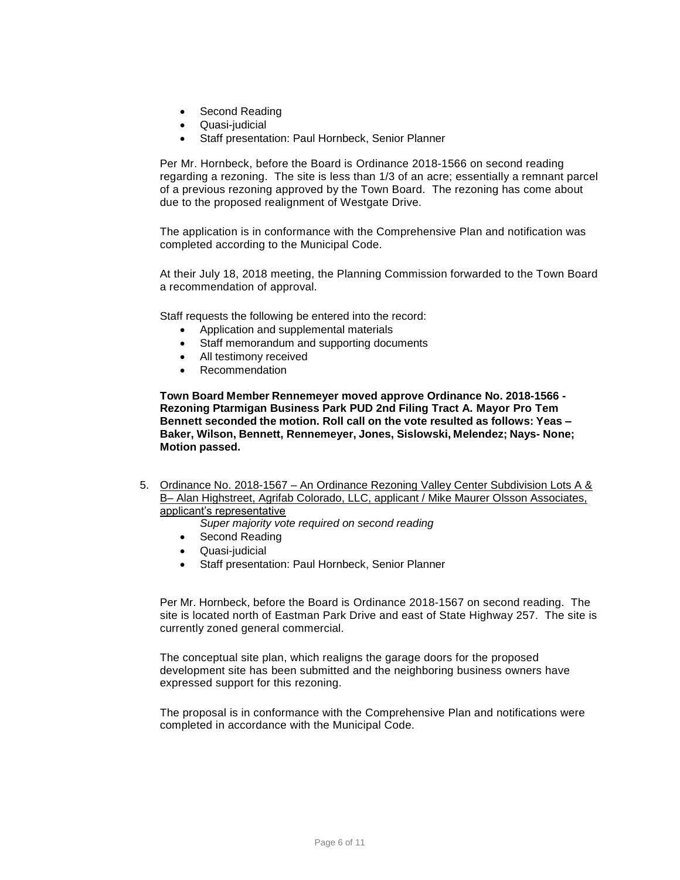- Second Reading
- Quasi-judicial
- Staff presentation: Paul Hornbeck, Senior Planner

Per Mr. Hornbeck, before the Board is Ordinance 2018-1566 on second reading regarding a rezoning. The site is less than 1/3 of an acre; essentially a remnant parcel of a previous rezoning approved by the Town Board. The rezoning has come about due to the proposed realignment of Westgate Drive.

The application is in conformance with the Comprehensive Plan and notification was completed according to the Municipal Code.

At their July 18, 2018 meeting, the Planning Commission forwarded to the Town Board a recommendation of approval.

Staff requests the following be entered into the record:

- Application and supplemental materials
- Staff memorandum and supporting documents
- All testimony received
- Recommendation

**Town Board Member Rennemeyer moved approve Ordinance No. 2018-1566 - Rezoning Ptarmigan Business Park PUD 2nd Filing Tract A. Mayor Pro Tem Bennett seconded the motion. Roll call on the vote resulted as follows: Yeas – Baker, Wilson, Bennett, Rennemeyer, Jones, Sislowski, Melendez; Nays- None; Motion passed.**

5. Ordinance No. 2018-1567 – An Ordinance Rezoning Valley Center Subdivision Lots A & B– Alan Highstreet, Agrifab Colorado, LLC, applicant / Mike Maurer Olsson Associates, applicant's representative

*Super majority vote required on second reading*

- Second Reading
- Quasi-judicial
- Staff presentation: Paul Hornbeck, Senior Planner

Per Mr. Hornbeck, before the Board is Ordinance 2018-1567 on second reading. The site is located north of Eastman Park Drive and east of State Highway 257. The site is currently zoned general commercial.

The conceptual site plan, which realigns the garage doors for the proposed development site has been submitted and the neighboring business owners have expressed support for this rezoning.

The proposal is in conformance with the Comprehensive Plan and notifications were completed in accordance with the Municipal Code.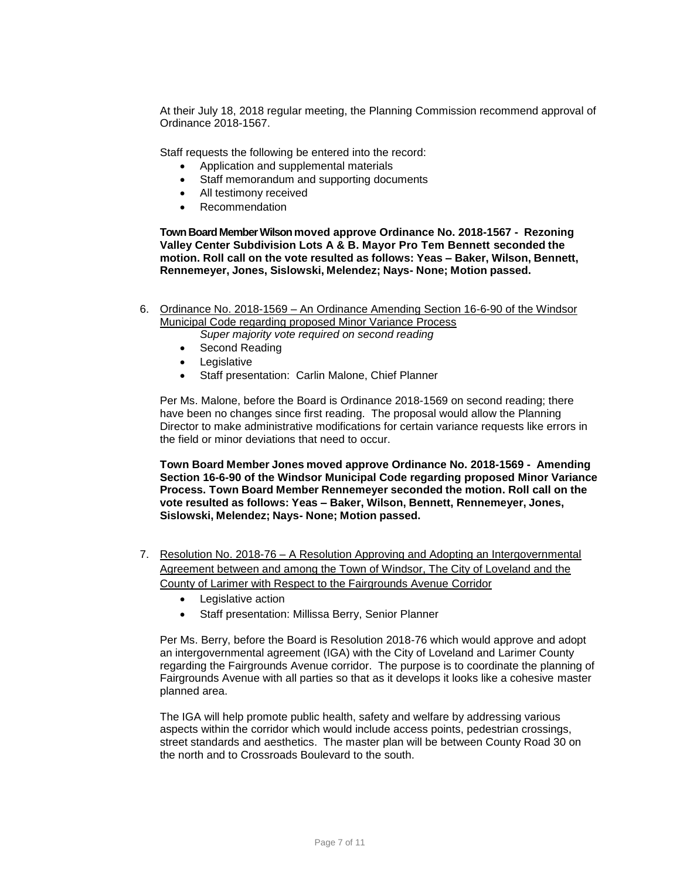At their July 18, 2018 regular meeting, the Planning Commission recommend approval of Ordinance 2018-1567.

Staff requests the following be entered into the record:

- Application and supplemental materials
- Staff memorandum and supporting documents
- All testimony received
- Recommendation

**Town Board Member Wilson moved approve Ordinance No. 2018-1567 - Rezoning Valley Center Subdivision Lots A & B. Mayor Pro Tem Bennett seconded the motion. Roll call on the vote resulted as follows: Yeas – Baker, Wilson, Bennett, Rennemeyer, Jones, Sislowski, Melendez; Nays- None; Motion passed.**

6. Ordinance No. 2018-1569 – An Ordinance Amending Section 16-6-90 of the Windsor Municipal Code regarding proposed Minor Variance Process

*Super majority vote required on second reading*

- Second Reading
- Legislative
- Staff presentation: Carlin Malone, Chief Planner

Per Ms. Malone, before the Board is Ordinance 2018-1569 on second reading; there have been no changes since first reading. The proposal would allow the Planning Director to make administrative modifications for certain variance requests like errors in the field or minor deviations that need to occur.

**Town Board Member Jones moved approve Ordinance No. 2018-1569 - Amending Section 16-6-90 of the Windsor Municipal Code regarding proposed Minor Variance Process. Town Board Member Rennemeyer seconded the motion. Roll call on the vote resulted as follows: Yeas – Baker, Wilson, Bennett, Rennemeyer, Jones, Sislowski, Melendez; Nays- None; Motion passed.**

- 7. Resolution No. 2018-76 A Resolution Approving and Adopting an Intergovernmental Agreement between and among the Town of Windsor, The City of Loveland and the County of Larimer with Respect to the Fairgrounds Avenue Corridor
	- Legislative action
	- Staff presentation: Millissa Berry, Senior Planner

Per Ms. Berry, before the Board is Resolution 2018-76 which would approve and adopt an intergovernmental agreement (IGA) with the City of Loveland and Larimer County regarding the Fairgrounds Avenue corridor. The purpose is to coordinate the planning of Fairgrounds Avenue with all parties so that as it develops it looks like a cohesive master planned area.

The IGA will help promote public health, safety and welfare by addressing various aspects within the corridor which would include access points, pedestrian crossings, street standards and aesthetics. The master plan will be between County Road 30 on the north and to Crossroads Boulevard to the south.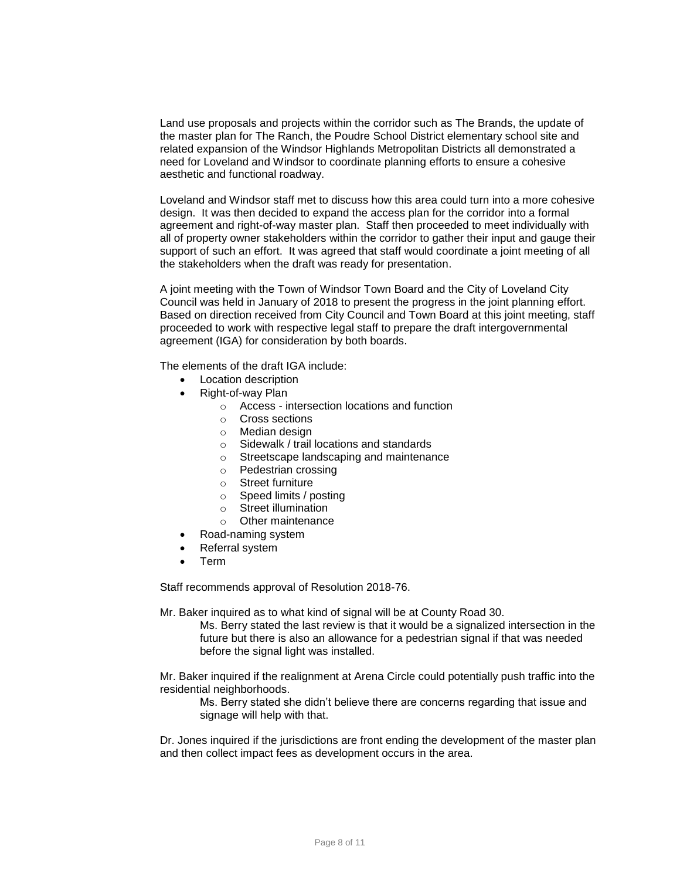Land use proposals and projects within the corridor such as The Brands, the update of the master plan for The Ranch, the Poudre School District elementary school site and related expansion of the Windsor Highlands Metropolitan Districts all demonstrated a need for Loveland and Windsor to coordinate planning efforts to ensure a cohesive aesthetic and functional roadway.

Loveland and Windsor staff met to discuss how this area could turn into a more cohesive design. It was then decided to expand the access plan for the corridor into a formal agreement and right-of-way master plan. Staff then proceeded to meet individually with all of property owner stakeholders within the corridor to gather their input and gauge their support of such an effort. It was agreed that staff would coordinate a joint meeting of all the stakeholders when the draft was ready for presentation.

A joint meeting with the Town of Windsor Town Board and the City of Loveland City Council was held in January of 2018 to present the progress in the joint planning effort. Based on direction received from City Council and Town Board at this joint meeting, staff proceeded to work with respective legal staff to prepare the draft intergovernmental agreement (IGA) for consideration by both boards.

The elements of the draft IGA include:

- Location description
- Right-of-way Plan
	- o Access intersection locations and function
	- o Cross sections
	- o Median design
	- o Sidewalk / trail locations and standards
	- o Streetscape landscaping and maintenance
	- o Pedestrian crossing
	- o Street furniture
	- o Speed limits / posting
	- o Street illumination
	- o Other maintenance
- Road-naming system
- Referral system
- Term

Staff recommends approval of Resolution 2018-76.

Mr. Baker inquired as to what kind of signal will be at County Road 30.

Ms. Berry stated the last review is that it would be a signalized intersection in the future but there is also an allowance for a pedestrian signal if that was needed before the signal light was installed.

Mr. Baker inquired if the realignment at Arena Circle could potentially push traffic into the residential neighborhoods.

Ms. Berry stated she didn't believe there are concerns regarding that issue and signage will help with that.

Dr. Jones inquired if the jurisdictions are front ending the development of the master plan and then collect impact fees as development occurs in the area.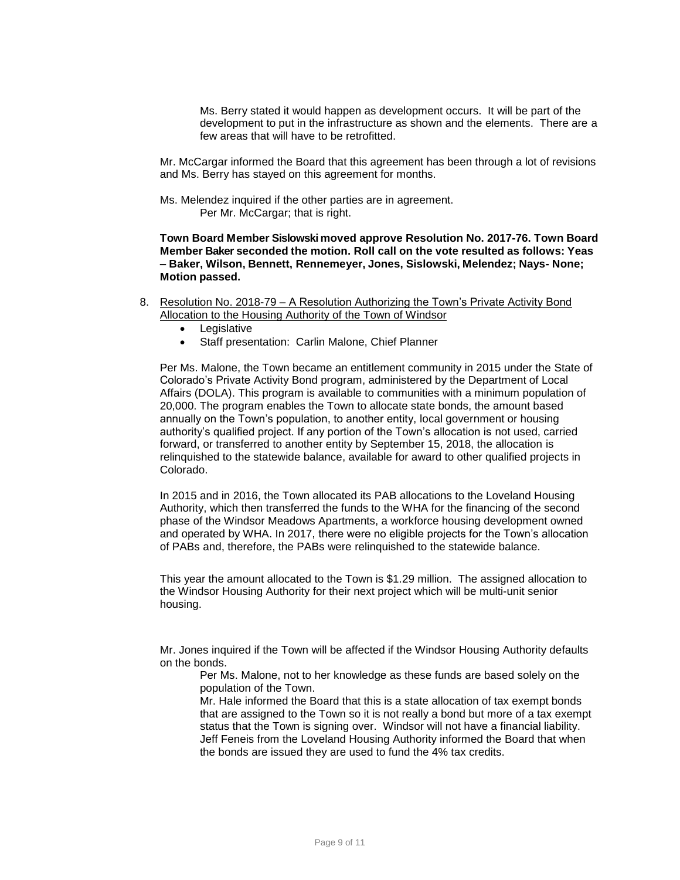Ms. Berry stated it would happen as development occurs. It will be part of the development to put in the infrastructure as shown and the elements. There are a few areas that will have to be retrofitted.

Mr. McCargar informed the Board that this agreement has been through a lot of revisions and Ms. Berry has stayed on this agreement for months.

Ms. Melendez inquired if the other parties are in agreement. Per Mr. McCargar; that is right.

**Town Board Member Sislowski moved approve Resolution No. 2017-76. Town Board Member Baker seconded the motion. Roll call on the vote resulted as follows: Yeas – Baker, Wilson, Bennett, Rennemeyer, Jones, Sislowski, Melendez; Nays- None; Motion passed.**

- 8. Resolution No. 2018-79 A Resolution Authorizing the Town's Private Activity Bond Allocation to the Housing Authority of the Town of Windsor
	- Legislative
	- Staff presentation: Carlin Malone, Chief Planner

Per Ms. Malone, the Town became an entitlement community in 2015 under the State of Colorado's Private Activity Bond program, administered by the Department of Local Affairs (DOLA). This program is available to communities with a minimum population of 20,000. The program enables the Town to allocate state bonds, the amount based annually on the Town's population, to another entity, local government or housing authority's qualified project. If any portion of the Town's allocation is not used, carried forward, or transferred to another entity by September 15, 2018, the allocation is relinquished to the statewide balance, available for award to other qualified projects in Colorado.

In 2015 and in 2016, the Town allocated its PAB allocations to the Loveland Housing Authority, which then transferred the funds to the WHA for the financing of the second phase of the Windsor Meadows Apartments, a workforce housing development owned and operated by WHA. In 2017, there were no eligible projects for the Town's allocation of PABs and, therefore, the PABs were relinquished to the statewide balance.

This year the amount allocated to the Town is \$1.29 million. The assigned allocation to the Windsor Housing Authority for their next project which will be multi-unit senior housing.

Mr. Jones inquired if the Town will be affected if the Windsor Housing Authority defaults on the bonds.

Per Ms. Malone, not to her knowledge as these funds are based solely on the population of the Town.

Mr. Hale informed the Board that this is a state allocation of tax exempt bonds that are assigned to the Town so it is not really a bond but more of a tax exempt status that the Town is signing over. Windsor will not have a financial liability. Jeff Feneis from the Loveland Housing Authority informed the Board that when the bonds are issued they are used to fund the 4% tax credits.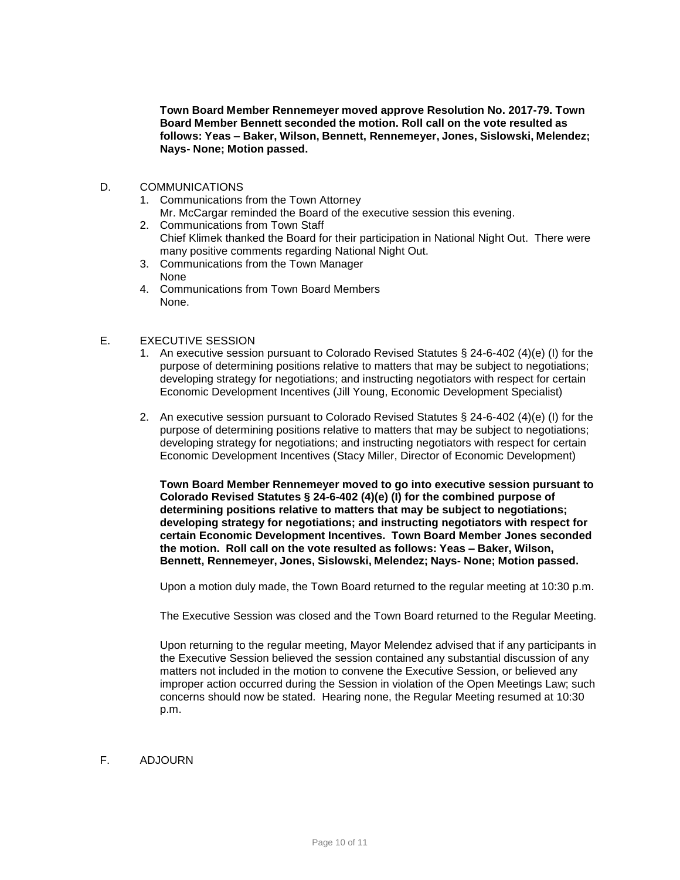**Town Board Member Rennemeyer moved approve Resolution No. 2017-79. Town Board Member Bennett seconded the motion. Roll call on the vote resulted as follows: Yeas – Baker, Wilson, Bennett, Rennemeyer, Jones, Sislowski, Melendez; Nays- None; Motion passed.**

- D. COMMUNICATIONS
	- 1. Communications from the Town Attorney
		- Mr. McCargar reminded the Board of the executive session this evening.
	- 2. Communications from Town Staff Chief Klimek thanked the Board for their participation in National Night Out. There were many positive comments regarding National Night Out.
	- 3. Communications from the Town Manager None
	- 4. Communications from Town Board Members None.

#### E. EXECUTIVE SESSION

- 1. An executive session pursuant to Colorado Revised Statutes § 24-6-402 (4)(e) (I) for the purpose of determining positions relative to matters that may be subject to negotiations; developing strategy for negotiations; and instructing negotiators with respect for certain Economic Development Incentives (Jill Young, Economic Development Specialist)
- 2. An executive session pursuant to Colorado Revised Statutes § 24-6-402 (4)(e) (I) for the purpose of determining positions relative to matters that may be subject to negotiations; developing strategy for negotiations; and instructing negotiators with respect for certain Economic Development Incentives (Stacy Miller, Director of Economic Development)

**Town Board Member Rennemeyer moved to go into executive session pursuant to Colorado Revised Statutes § 24-6-402 (4)(e) (I) for the combined purpose of determining positions relative to matters that may be subject to negotiations; developing strategy for negotiations; and instructing negotiators with respect for certain Economic Development Incentives. Town Board Member Jones seconded the motion. Roll call on the vote resulted as follows: Yeas – Baker, Wilson, Bennett, Rennemeyer, Jones, Sislowski, Melendez; Nays- None; Motion passed.**

Upon a motion duly made, the Town Board returned to the regular meeting at 10:30 p.m.

The Executive Session was closed and the Town Board returned to the Regular Meeting.

Upon returning to the regular meeting, Mayor Melendez advised that if any participants in the Executive Session believed the session contained any substantial discussion of any matters not included in the motion to convene the Executive Session, or believed any improper action occurred during the Session in violation of the Open Meetings Law; such concerns should now be stated. Hearing none, the Regular Meeting resumed at 10:30 p.m.

## F. ADJOURN